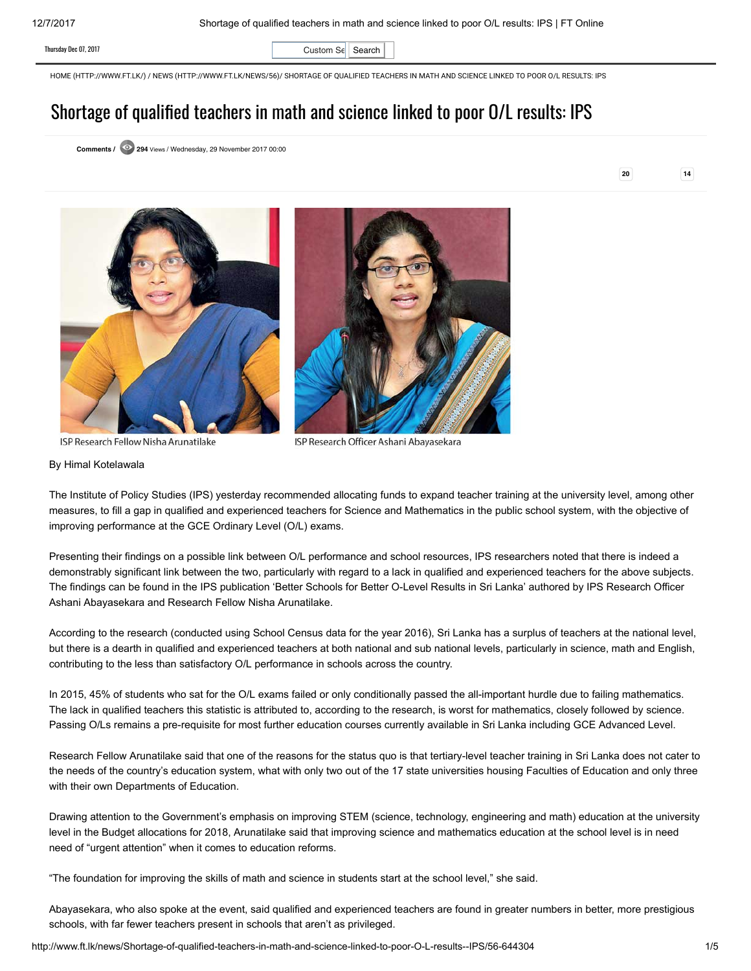Thursday Dec 07, 2017  $\qquad \qquad$  Custom Se  $\qquad$  Search

[HOME \(HTTP://WWW.FT.LK/\)](http://www.ft.lk/) / [NEWS \(HTTP://WWW.FT.LK/NEWS/56\)](http://www.ft.lk/news/56)/ SHORTAGE OF QUALIFIED TEACHERS IN MATH AND SCIENCE LINKED TO POOR O/L RESULTS: IPS

## Shortage of qualified teachers in math and science linked to poor O/L results: IPS

Comments / 294 Views / Wednesday, 29 November 2017 00:00

20 14





ISP Research Fellow Nisha Arunatilake

ISP Research Officer Ashani Abayasekara

## By Himal Kotelawala

The Institute of Policy Studies (IPS) yesterday recommended allocating funds to expand teacher training at the university level, among other measures, to fill a gap in qualified and experienced teachers for Science and Mathematics in the public school system, with the objective of improving performance at the GCE Ordinary Level (O/L) exams.

Presenting their findings on a possible link between O/L performance and school resources, IPS researchers noted that there is indeed a demonstrably significant link between the two, particularly with regard to a lack in qualified and experienced teachers for the above subjects. The findings can be found in the IPS publication 'Better Schools for Better O-Level Results in Sri Lanka' authored by IPS Research Officer Ashani Abayasekara and Research Fellow Nisha Arunatilake.

According to the research (conducted using School Census data for the year 2016), Sri Lanka has a surplus of teachers at the national level, but there is a dearth in qualified and experienced teachers at both national and sub national levels, particularly in science, math and English, contributing to the less than satisfactory O/L performance in schools across the country.

In 2015, 45% of students who sat for the O/L exams failed or only conditionally passed the all-important hurdle due to failing mathematics. The lack in qualified teachers this statistic is attributed to, according to the research, is worst for mathematics, closely followed by science. Passing O/Ls remains a pre-requisite for most further education courses currently available in Sri Lanka including GCE Advanced Level.

Research Fellow Arunatilake said that one of the reasons for the status quo is that tertiary-level teacher training in Sri Lanka does not cater to the needs of the country's education system, what with only two out of the 17 state universities housing Faculties of Education and only three with their own Departments of Education.

Drawing attention to the Government's emphasis on improving STEM (science, technology, engineering and math) education at the university level in the Budget allocations for 2018, Arunatilake said that improving science and mathematics education at the school level is in need need of "urgent attention" when it comes to education reforms.

"The foundation for improving the skills of math and science in students start at the school level," she said.

Abayasekara, who also spoke at the event, said qualified and experienced teachers are found in greater numbers in better, more prestigious schools, with far fewer teachers present in schools that aren't as privileged.